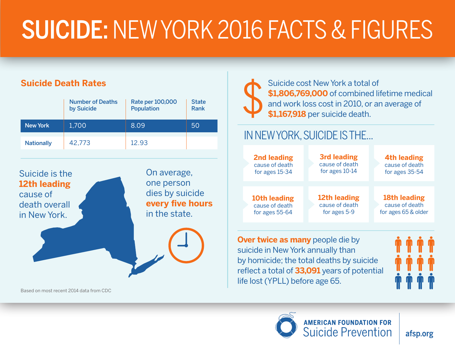# SUICIDE: NEW YORK 2016 FACTS & FIGURES

#### **Suicide Death Rates**

|                   | <b>Number of Deaths</b><br>by Suicide | Rate per 100,000<br><b>Population</b> | <b>State</b><br><b>Rank</b> |
|-------------------|---------------------------------------|---------------------------------------|-----------------------------|
| <b>New York</b>   | 1,700                                 | 8.09                                  | 50                          |
| <b>Nationally</b> | 42,773                                | 12.93                                 |                             |



Based on most recent 2014 data from CDC



Suicide cost New York a total of **\$1,806,769,000** of combined lifetime medical and work loss cost in 2010, or an average of **\$1,167,918** per suicide death.

#### IN NEW YORK, SUICIDE IS THE...

| <b>2nd leading</b>                            | <b>3rd leading</b> | <b>4th leading</b>  |
|-----------------------------------------------|--------------------|---------------------|
| cause of death                                | cause of death     | cause of death      |
| for ages 15-34                                | for ages 10-14     | for ages 35-54      |
| 10th leading                                  | 12th leading       | 18th leading        |
| cause of death                                | cause of death     | cause of death      |
| for ages 55-64                                | for ages 5-9       | for ages 65 & older |
| $\mathbf{h}$ ray turing as meany needs die by |                    |                     |

**Over twice as many** people die by suicide in New York annually than by homicide; the total deaths by suicide reflect a total of **33,091** years of potential life lost (YPLL) before age 65.



afsp.org